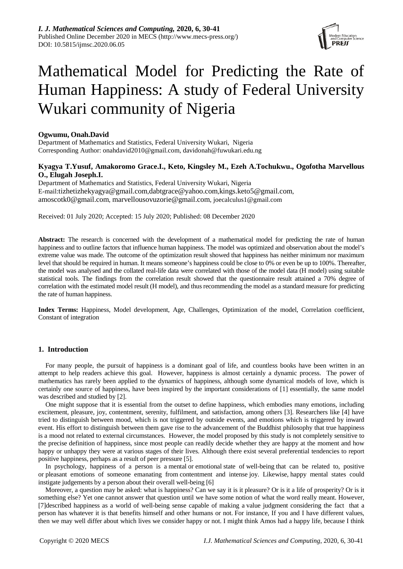

# Mathematical Model for Predicting the Rate of Human Happiness: A study of Federal University Wukari community of Nigeria

# **Ogwumu, Onah.David**

Department of Mathematics and Statistics, Federal University Wukari, Nigeria Corresponding Author: onahdavid2010@gmail.com, davidonah@fuwukari.edu.ng

# **Kyagya T.Yusuf, Amakoromo Grace.I., Keto, Kingsley M., Ezeh A.Tochukwu., Ogofotha Marvellous O., Elugah Joseph.I.**

Department of Mathematics and Statistics, Federal University Wukari, Nigeria E-mail[:tizhetizhekyagya@gmail.com](mailto:tizhetizhekyagya@gmail.com)[,dabtgrace@yahoo.com](mailto:dabtgrace@yahoo.com)[,kings.keto5@gmail.com,](mailto:kings.keto5@gmail.com)  amoscotk0@gmail.com, [marvellousovuzorie@gmail.com,](mailto:marvellousovuzorie@gmail.com) joecalculus1@gmail.com

Received: 01 July 2020; Accepted: 15 July 2020; Published: 08 December 2020

**Abstract:** The research is concerned with the development of a mathematical model for predicting the rate of human happiness and to outline factors that influence human happiness. The model was optimized and observation about the model's extreme value was made. The outcome of the optimization result showed that happiness has neither minimum nor maximum level that should be required in human. It means someone's happiness could be close to 0% or even be up to 100%. Thereafter, the model was analysed and the collated real-life data were correlated with those of the model data (H model) using suitable statistical tools. The findings from the correlation result showed that the questionnaire result attained a 70% degree of correlation with the estimated model result (H model), and thus recommending the model as a standard measure for predicting the rate of human happiness.

**Index Terms:** Happiness, Model development, Age, Challenges, Optimization of the model, Correlation coefficient, Constant of integration

# **1. Introduction**

For many people, the pursuit of happiness is a dominant goal of life, and countless books have been written in an attempt to help readers achieve this goal. However, happiness is almost certainly a dynamic process. The power of mathematics has rarely been applied to the dynamics of happiness, although some dynamical models of love, which is certainly one source of happiness, have been inspired by the important considerations of [1] essentially, the same model was described and studied by [2].

One might suppose that it is essential from the outset to define happiness, which embodies many emotions, including excitement, pleasure, joy, contentment, serenity, fulfilment, and satisfaction, among others [3]. Researchers like [4] have tried to distinguish between mood, which is not triggered by outside events, and emotions which is triggered by inward event. His effort to distinguish between them gave rise to the advancement of the Buddhist philosophy that true happiness is a mood not related to external circumstances. However, the model proposed by this study is not completely sensitive to the precise definition of happiness, since most people can readily decide whether they are happy at the moment and how happy or unhappy they were at various stages of their lives. Although there exist several preferential tendencies to report positive happiness, perhaps as a result of peer pressure [5].

In psychology, happiness of a person is a mental or emotional state of well-being that can be related to, positive or pleasant emotions of someone emanating from contentment and intense joy. Likewise, happy mental states could instigate judgements by a person about their overall well-being [6]

Moreover, a question may be asked: what is happiness? Can we say it is it pleasure? Or is it a life of prosperity? Or is it something else? Yet one cannot answer that question until we have some notion of what the word really meant. However, [7]described happiness as a world of well-being sense capable of making a value judgment considering the fact that a person has whatever it is that benefits himself and other humans or not. For instance, If you and I have different values, then we may well differ about which lives we consider happy or not. I might think Amos had a happy life, because I think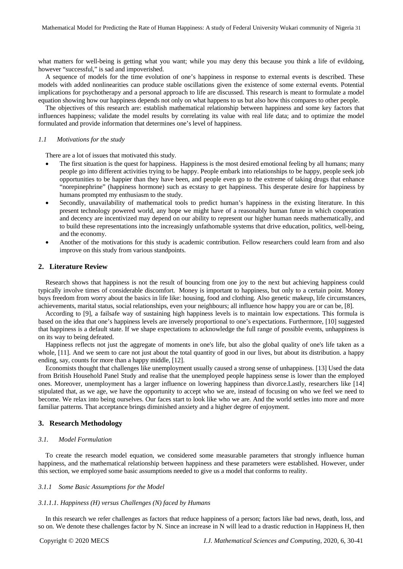what matters for well-being is getting what you want; while you may deny this because you think a life of evildoing, however "successful," is sad and impoverished.

A sequence of models for the time evolution of one's happiness in response to external events is described. These models with added nonlinearities can produce stable oscillations given the existence of some external events. Potential implications for psychotherapy and a personal approach to life are discussed. This research is meant to formulate a model equation showing how our happiness depends not only on what happens to us but also how this compares to other people.

The objectives of this research are: establish mathematical relationship between happiness and some key factors that influences happiness; validate the model results by correlating its value with real life data; and to optimize the model formulated and provide information that determines one's level of happiness.

# *1.1 Motivations for the study*

There are a lot of issues that motivated this study.

- The first situation is the quest for happiness. Happiness is the most desired emotional feeling by all humans; many people go into different activities trying to be happy. People embark into relationships to be happy, people seek job opportunities to be happier than they have been, and people even go to the extreme of taking drugs that enhance "norepinephrine" (happiness hormone) such as ecstasy to get happiness. This desperate desire for happiness by humans prompted my enthusiasm to the study.
- Secondly, unavailability of mathematical tools to predict human's happiness in the existing literature. In this present technology powered world, any hope we might have of a reasonably human future in which cooperation and decency are incentivized may depend on our ability to represent our higher human needs mathematically, and to build these representations into the increasingly unfathomable systems that drive education, politics, well-being, and the economy.
- Another of the motivations for this study is academic contribution. Fellow researchers could learn from and also improve on this study from various standpoints.

# **2. Literature Review**

Research shows that happiness is not the result of bouncing from one joy to the next but achieving happiness could typically involve times of considerable discomfort. Money is important to happiness, but only to a certain point. Money buys freedom from worry about the basics in life like: housing, food and clothing. Also genetic makeup, life circumstances, achievements, marital status, social relationships, even your neighbours; all influence how happy you are or can be, [8].

According to [9], a failsafe way of sustaining high happiness levels is to maintain low expectations. This formula is based on the idea that one's happiness levels are inversely proportional to one's expectations. Furthermore, [10] suggested that happiness is a default state. If we shape expectations to acknowledge the full range of possible events, unhappiness is on its way to being defeated.

Happiness reflects not just the aggregate of moments in one's life, but also the global quality of one's life taken as a whole, [11]. And we seem to care not just about the total quantity of good in our lives, but about its distribution. a happy ending, say, counts for more than a happy middle, [12].

Economists thought that challenges like unemployment usually caused a strong sense of unhappiness. [13] Used the data from British Household Panel Study and realise that the unemployed people happiness sense is lower than the employed ones. Moreover, unemployment has a larger influence on lowering happiness than divorce.Lastly, researchers like [14] stipulated that, as we age, we have the opportunity to accept who we are, instead of focusing on who we feel we need to become. We relax into being ourselves. Our faces start to look like who we are. And the world settles into more and more familiar patterns. That acceptance brings diminished anxiety and a higher degree of enjoyment.

# **3. Research Methodology**

# *3.1. Model Formulation*

To create the research model equation, we considered some measurable parameters that strongly influence human happiness, and the mathematical relationship between happiness and these parameters were established. However, under this section, we employed some basic assumptions needed to give us a model that conforms to reality.

### *3.1.1 Some Basic Assumptions for the Model*

### *3.1.1.1. Happiness (H) versus Challenges (N) faced by Humans*

In this research we refer challenges as factors that reduce happiness of a person; factors like bad news, death, loss, and so on. We denote these challenges factor by N. Since an increase in N will lead to a drastic reduction in Happiness H, then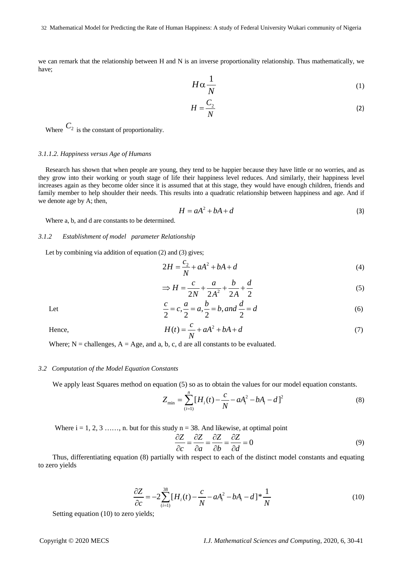we can remark that the relationship between H and N is an inverse proportionality relationship. Thus mathematically, we have;

$$
H\alpha \frac{1}{N} \tag{1}
$$

$$
H = \frac{C_2}{N}
$$
 (2)

Where  $C_2$  is the constant of proportionality.

# *3.1.1.2. Happiness versus Age of Humans*

Research has shown that when people are young, they tend to be happier because they have little or no worries, and as they grow into their working or youth stage of life their happiness level reduces. And similarly, their happiness level increases again as they become older since it is assumed that at this stage, they would have enough children, friends and family member to help shoulder their needs. This results into a quadratic relationship between happiness and age. And if we denote age by A; then,

$$
H = aA^2 + bA + d \tag{3}
$$

Where a, b, and d are constants to be determined.

# *3.1.2 Establishment of model parameter Relationship*

Let by combining via addition of equation (2) and (3) gives;

$$
2H = \frac{c_2}{N} + aA^2 + bA + d
$$
 (4)

$$
\Rightarrow H = \frac{c}{2N} + \frac{a}{2A^2} + \frac{b}{2A} + \frac{d}{2}
$$
 (5)

Let 
$$
\frac{c}{2} = c
$$
,  $\frac{a}{2} = a$ ,  $\frac{b}{2} = b$ , and  $\frac{d}{2} = d$  (6)

Hence, 
$$
H(t) = \frac{c}{N} + aA^2 + bA + d
$$
 (7)

Where;  $N =$  challenges,  $A = Age$ , and a, b, c, d are all constants to be evaluated.

# *3.2 Computation of the Model Equation Constants*

We apply least Squares method on equation (5) so as to obtain the values for our model equation constants.

$$
Z_{\min} = \sum_{i=1}^{n} \left[ H_i(t) - \frac{c}{N} - aA_i^2 - bA_i - d \right]^2
$$
 (8)

Where 
$$
i = 1, 2, 3, \ldots
$$
, n. but for this study  $n = 38$ . And likewise, at optimal point

$$
\frac{\partial Z}{\partial c} = \frac{\partial Z}{\partial a} = \frac{\partial Z}{\partial b} = \frac{\partial Z}{\partial d} = 0
$$
\n(9)

Thus, differentiating equation (8) partially with respect to each of the distinct model constants and equating to zero yields

$$
\frac{\partial Z}{\partial c} = -2 \sum_{(i=1)}^{38} [H_i(t) - \frac{c}{N} - aA_i^2 - bA_i - d] * \frac{1}{N}
$$
(10)

Setting equation (10) to zero yields;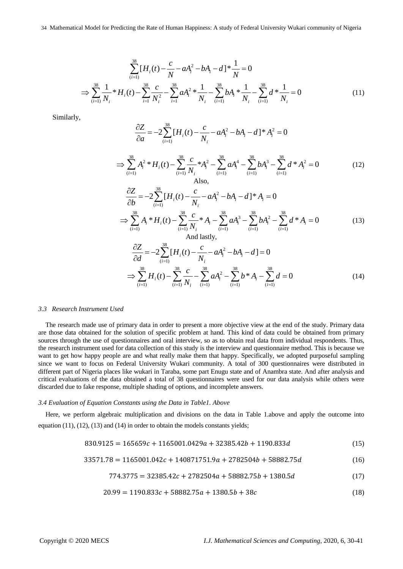$$
\sum_{(i=1)}^{38} [H_i(t) - \frac{c}{N} - aA_i^2 - bA_i - d]^* \frac{1}{N} = 0
$$
  

$$
\Rightarrow \sum_{(i=1)}^{38} \frac{1}{N_i} * H_i(t) - \sum_{i=1}^{38} \frac{c}{N_i^2} - \sum_{i=1}^{38} aA_i^2 * \frac{1}{N_i} - \sum_{(i=1)}^{38} bA_i^2 + \frac{1}{N_i} - \sum_{(i=1)}^{38} d^* \frac{1}{N_i} = 0
$$
(11)

Similarly,

$$
\frac{\partial Z}{\partial a} = -2 \sum_{i=1}^{38} [H_i(t) - \frac{c}{N_i} - aA_i^2 - bA_i - d]^* A_i^2 = 0
$$
  
\n
$$
\Rightarrow \sum_{i=1}^{38} A_i^2 * H_i(t) - \sum_{i=1}^{38} \frac{c}{N_i} * A_i^2 - \sum_{i=1}^{38} aA_i^4 - \sum_{i=1}^{38} bA_i^3 - \sum_{i=1}^{38} d^* A_i^2 = 0
$$
  
\nAlso,  
\n
$$
\frac{\partial Z}{\partial b} = -2 \sum_{i=1}^{38} [H_i(t) - \frac{c}{N_i} - aA_i^2 - bA_i - d]^* A_i = 0
$$
  
\n
$$
\Rightarrow \sum_{i=1}^{38} A_i * H_i(t) - \sum_{i=1}^{38} \frac{c}{N_i} * A_i - \sum_{i=1}^{38} aA_i^3 - \sum_{i=1}^{38} bA_i^2 - \sum_{i=1}^{38} d^* A_i = 0
$$
  
\nAnd lastly,  
\n
$$
\frac{\partial Z}{\partial d} = -2 \sum_{i=1}^{38} [H_i(t) - \frac{c}{N_i} - aA_i^2 - bA_i - d] = 0
$$
 (13)

$$
\Rightarrow \sum_{(i=1)}^{38} H_i(t) - \sum_{(i=1)}^{38} \frac{c}{N_i} - \sum_{(i=1)}^{38} a A_i^2 - \sum_{(i=1)}^{38} b^* A_i - \sum_{(i=1)}^{38} d = 0 \tag{14}
$$

### *3.3 Research Instrument Used*

The research made use of primary data in order to present a more objective view at the end of the study. Primary data are those data obtained for the solution of specific problem at hand. This kind of data could be obtained from primary sources through the use of questionnaires and oral interview, so as to obtain real data from individual respondents. Thus, the research instrument used for data collection of this study is the interview and questionnaire method. This is because we want to get how happy people are and what really make them that happy. Specifically, we adopted purposeful sampling since we want to focus on Federal University Wukari community. A total of 300 questionnaires were distributed in different part of Nigeria places like wukari in Taraba, some part Enugu state and of Anambra state. And after analysis and critical evaluations of the data obtained a total of 38 questionnaires were used for our data analysis while others were discarded due to fake response, multiple shading of options, and incomplete answers.

# *3.4 Evaluation of Equation Constants using the Data in Table1. Above*

Here, we perform algebraic multiplication and divisions on the data in Table 1.above and apply the outcome into equation (11), (12), (13) and (14) in order to obtain the models constants yields;

$$
830.9125 = 165659c + 1165001.0429a + 32385.42b + 1190.833d
$$
 (15)

$$
33571.78 = 1165001.042c + 140871751.9a + 2782504b + 58882.75d
$$
 (16)

$$
774.3775 = 32385.42c + 2782504a + 58882.75b + 1380.5d
$$
 (17)

$$
20.99 = 1190.833c + 58882.75a + 1380.5b + 38c
$$
 (18)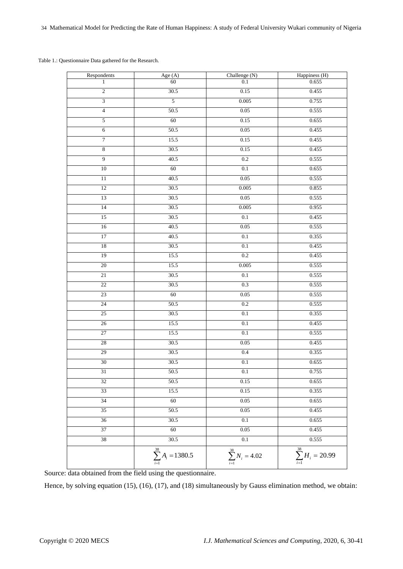Table 1.: Questionnaire Data gathered for the Research.

| Respondents     | Age (A)                        | Challenge (N)                | Happiness (H)                 |  |
|-----------------|--------------------------------|------------------------------|-------------------------------|--|
| $\mathbf{1}$    | 60                             | 0.655<br>0.1                 |                               |  |
| $\overline{2}$  | 30.5                           | 0.15                         | 0.455                         |  |
| $\overline{3}$  | $\overline{5}$                 | 0.005                        | 0.755                         |  |
| $\overline{4}$  | 50.5                           | 0.05                         | 0.555                         |  |
| 5               | 60                             | 0.15                         | 0.655                         |  |
| $\overline{6}$  | 50.5                           | 0.05                         | 0.455                         |  |
| $\overline{7}$  | 15.5                           | 0.15                         | 0.455                         |  |
| $\overline{8}$  | 30.5                           | 0.15                         | 0.455                         |  |
| $\overline{9}$  | 40.5<br>0.2                    |                              | 0.555                         |  |
| 10              | 60                             | 0.1                          | 0.655                         |  |
| $11\,$          | 40.5<br>0.05                   |                              | 0.555                         |  |
| 12              | 30.5                           | 0.005                        | 0.855                         |  |
| 13              | 30.5                           | 0.05                         | 0.555                         |  |
| 14              | 30.5                           | 0.005                        | 0.955                         |  |
| 15              | 30.5                           | 0.1                          | 0.455                         |  |
| 16              | 40.5                           | 0.05                         | 0.555                         |  |
| 17              | 40.5                           | 0.1                          | 0.355                         |  |
| 18              | 30.5                           | 0.1                          | 0.455                         |  |
| 19              | 15.5                           | 0.2                          | 0.455                         |  |
| 20              | 15.5                           | 0.005                        | 0.555                         |  |
| $21\,$          | 30.5                           | 0.1                          | 0.555                         |  |
| $\overline{22}$ | 30.5                           | 0.3                          | 0.555                         |  |
| 23              | 60                             | 0.05                         | 0.555                         |  |
| 24              | 50.5                           | 0.2                          | 0.555                         |  |
| 25              | 30.5                           | 0.1                          | 0.355                         |  |
| 26              | 15.5                           | 0.1                          | 0.455                         |  |
| 27              | 15.5                           | 0.1                          |                               |  |
| 28              | 30.5                           | 0.05                         |                               |  |
| 29              | 30.5                           | 0.4                          | 0.355                         |  |
| 30              | 30.5                           | 0.1                          | 0.655                         |  |
| 31              | 50.5                           | 0.1                          | 0.755                         |  |
| $\overline{32}$ | 50.5                           | 0.15                         | 0.655                         |  |
| 33              | 15.5                           | 0.15                         | 0.355                         |  |
| $\overline{34}$ | $60\,$                         | 0.05                         | 0.655                         |  |
| $\overline{35}$ | 50.5                           | 0.05                         | 0.455                         |  |
| 36              | 30.5                           | 0.1                          | 0.655                         |  |
| 37              | 60                             | 0.05                         | 0.455                         |  |
| 38              | 30.5                           | 0.1                          | 0.555                         |  |
|                 | $\sum_{i=1}^{38} A_i = 1380.5$ | $\sum_{i=1}^{38} N_i = 4.02$ | $\sum_{i=1}^{38} H_i = 20.99$ |  |

Source: data obtained from the field using the questionnaire.

Hence, by solving equation (15), (16), (17), and (18) simultaneously by Gauss elimination method, we obtain: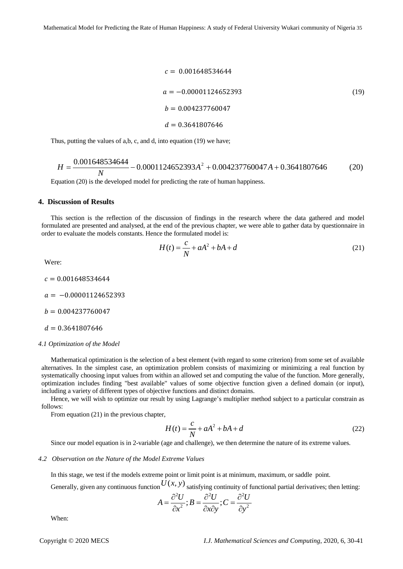$$
c = 0.001648534644
$$
\n
$$
a = -0.00001124652393
$$
\n
$$
b = 0.004237760047
$$
\n
$$
d = 0.3641807646
$$
\n(19)

Thus, putting the values of a,b, c, and d, into equation (19) we have;

$$
H = \frac{0.001648534644}{N} - 0.0001124652393A^2 + 0.004237760047A + 0.3641807646\tag{20}
$$

Equation (20) is the developed model for predicting the rate of human happiness.

# **4. Discussion of Results**

This section is the reflection of the discussion of findings in the research where the data gathered and model formulated are presented and analysed, at the end of the previous chapter, we were able to gather data by questionnaire in order to evaluate the models constants. Hence the formulated model is:

$$
H(t) = \frac{c}{N} + aA^2 + bA + d \tag{21}
$$

Were:

$$
c = 0.001648534644
$$

 $a = -0.00001124652393$ 

$$
b = 0.004237760047
$$

$$
d = 0.3641807646
$$

### *4.1 Optimization of the Model*

Mathematical optimization is the selection of a best element (with regard to some criterion) from some set of available alternatives. In the simplest case, an optimization problem consists of maximizing or minimizing a real function by systematically choosing input values from within an allowed set and computing the value of the function. More generally, optimization includes finding "best available" values of some objective function given a defined domain (or input), including a variety of different types of objective functions and distinct domains.

Hence, we will wish to optimize our result by using Lagrange's multiplier method subject to a particular constrain as follows:

From equation (21) in the previous chapter,

$$
H(t) = \frac{c}{N} + aA^2 + bA + d
$$
\n<sup>(22)</sup>

Since our model equation is in 2-variable (age and challenge), we then determine the nature of its extreme values.

### *4.2 Observation on the Nature of the Model Extreme Values*

In this stage, we test if the models extreme point or limit point is at minimum, maximum, or saddle point.

Generally, given any continuous function  $U(x, y)$  satisfying continuity of functional partial derivatives; then letting:

$$
A = \frac{\partial^2 U}{\partial x^2}; B = \frac{\partial^2 U}{\partial x \partial y}; C = \frac{\partial^2 U}{\partial y^2}
$$

When: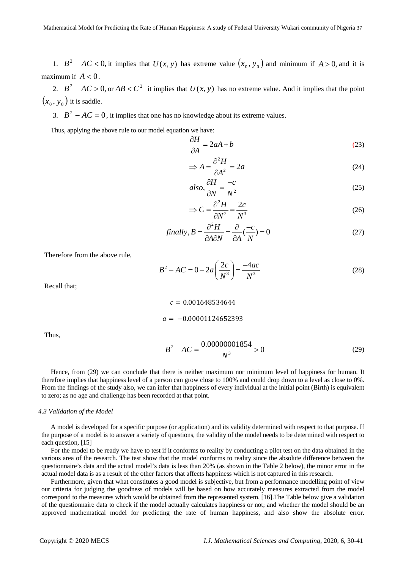1.  $B^2 - AC < 0$ , it implies that  $U(x, y)$  has extreme value  $(x_0, y_0)$  and minimum if  $A > 0$ , and it is maximum if  $A < 0$ .

2.  $B^2 - AC > 0$ , or  $AB < C^2$  it implies that  $U(x, y)$  has no extreme value. And it implies that the point  $(x_0, y_0)$  it is saddle.

3.  $B^2 - AC = 0$ , it implies that one has no knowledge about its extreme values.

Thus, applying the above rule to our model equation we have:

$$
\frac{\partial H}{\partial A} = 2aA + b \tag{23}
$$

$$
\Rightarrow A = \frac{\partial^2 H}{\partial A^2} = 2a \tag{24}
$$

$$
also, \frac{\partial H}{\partial N} = \frac{-c}{N^2} \tag{25}
$$

$$
\Rightarrow C = \frac{\partial^2 H}{\partial N^2} = \frac{2c}{N^3}
$$
 (26)

$$
finally, B = \frac{\partial^2 H}{\partial A \partial N} = \frac{\partial}{\partial A} \left( \frac{-c}{N} \right) = 0 \tag{27}
$$

Therefore from the above rule,

$$
B^2 - AC = 0 - 2a \left(\frac{2c}{N^3}\right) = \frac{-4ac}{N^3}
$$
 (28)

Recall that;

$$
c = 0.001648534644
$$

$$
a = -0.00001124652393
$$

Thus,

$$
B^2 - AC = \frac{0.00000001854}{N^3} > 0
$$
\n(29)

Hence, from (29) we can conclude that there is neither maximum nor minimum level of happiness for human. It therefore implies that happiness level of a person can grow close to 100% and could drop down to a level as close to 0%. From the findings of the study also, we can infer that happiness of every individual at the initial point (Birth) is equivalent to zero; as no age and challenge has been recorded at that point.

### *4.3 Validation of the Model*

A model is developed for a specific purpose (or application) and its validity determined with respect to that purpose. If the purpose of a model is to answer a variety of questions, the validity of the model needs to be determined with respect to each question, [15]

For the model to be ready we have to test if it conforms to reality by conducting a pilot test on the data obtained in the various area of the research. The test show that the model conforms to reality since the absolute difference between the questionnaire's data and the actual model's data is less than 20% (as shown in the Table 2 below), the minor error in the actual model data is as a result of the other factors that affects happiness which is not captured in this research.

Furthermore, given that what constitutes a good model is subjective, but from a performance modelling point of view our criteria for judging the goodness of models will be based on how accurately measures extracted from the model correspond to the measures which would be obtained from the represented system, [16].The Table below give a validation of the questionnaire data to check if the model actually calculates happiness or not; and whether the model should be an approved mathematical model for predicting the rate of human happiness, and also show the absolute error.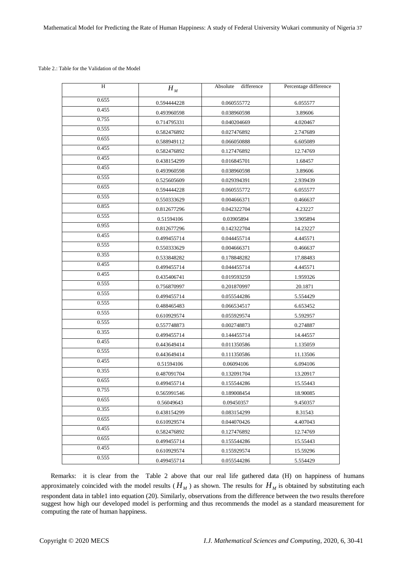### Table 2.: Table for the Validation of the Model

| H     | $H_{\scriptscriptstyle M}$ | difference<br>Absolute | Percentage difference |  |
|-------|----------------------------|------------------------|-----------------------|--|
| 0.655 | 0.594444228                | 0.060555772            | 6.055577              |  |
| 0.455 | 0.493960598                | 0.038960598            | 3.89606               |  |
| 0.755 | 0.714795331                | 0.040204669            | 4.020467              |  |
| 0.555 | 0.582476892                | 0.027476892            | 2.747689              |  |
| 0.655 | 0.588949112                | 0.066050888            | 6.605089              |  |
| 0.455 | 0.582476892                | 0.127476892            | 12.74769              |  |
| 0.455 | 0.438154299                | 0.016845701            | 1.68457               |  |
| 0.455 | 0.493960598                | 0.038960598            | 3.89606               |  |
| 0.555 | 0.525605609                | 0.029394391            | 2.939439              |  |
| 0.655 | 0.594444228                | 0.060555772            | 6.055577              |  |
| 0.555 | 0.550333629                | 0.004666371            | 0.466637              |  |
| 0.855 | 0.812677296                | 0.042322704            | 4.23227               |  |
| 0.555 | 0.51594106                 | 0.03905894             | 3.905894              |  |
| 0.955 | 0.812677296                | 0.142322704            | 14.23227              |  |
| 0.455 | 0.499455714                | 0.044455714            | 4.445571              |  |
| 0.555 | 0.550333629                | 0.004666371            | 0.466637              |  |
| 0.355 | 0.533848282                | 0.178848282            | 17.88483              |  |
| 0.455 | 0.499455714                | 0.044455714            | 4.445571              |  |
| 0.455 | 0.435406741                | 0.019593259            | 1.959326              |  |
| 0.555 | 0.756870997                | 0.201870997            | 20.1871               |  |
| 0.555 | 0.499455714                | 0.055544286            | 5.554429              |  |
| 0.555 | 0.488465483                | 0.066534517            | 6.653452              |  |
| 0.555 | 0.610929574                | 0.055929574            | 5.592957              |  |
| 0.555 | 0.557748873                | 0.002748873            | 0.274887              |  |
| 0.355 | 0.499455714                | 0.144455714            | 14.44557              |  |
| 0.455 | 0.443649414                | 0.011350586            | 1.135059              |  |
| 0.555 | 0.443649414                | 0.111350586            | 11.13506              |  |
| 0.455 | 0.51594106                 | 0.06094106             | 6.094106              |  |
| 0.355 | 0.487091704                | 0.132091704            | 13.20917              |  |
| 0.655 | 0.499455714                | 0.155544286            | 15.55443              |  |
| 0.755 | 0.565991546                | 0.189008454            | 18.90085              |  |
| 0.655 | 0.56049643                 | 0.09450357             | 9.450357              |  |
| 0.355 | 0.438154299                | 0.083154299            | 8.31543               |  |
| 0.655 | 0.610929574                | 0.044070426            | 4.407043              |  |
| 0.455 | 0.582476892                | 0.127476892            | 12.74769              |  |
| 0.655 | 0.499455714                | 0.155544286            | 15.55443              |  |
| 0.455 | 0.610929574                | 0.155929574            | 15.59296              |  |
| 0.555 | 0.499455714                | 0.055544286            | 5.554429              |  |

Remarks: it is clear from the Table 2 above that our real life gathered data (H) on happiness of humans approximately coincided with the model results ( $H_M$ ) as shown. The results for  $H_M$  is obtained by substituting each respondent data in table1 into equation (20). Similarly, observations from the difference between the two results therefore suggest how high our developed model is performing and thus recommends the model as a standard measurement for computing the rate of human happiness.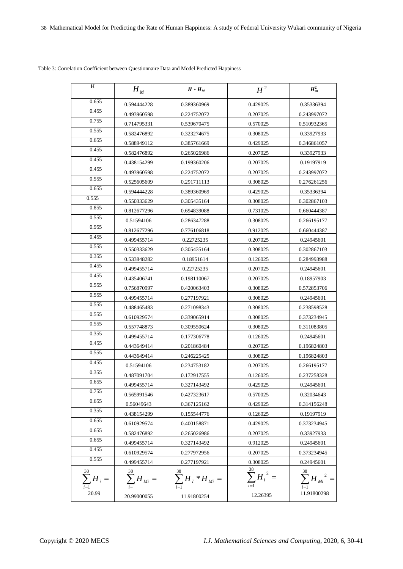| Η                     | ${\cal H}_{{\scriptscriptstyle M}}$ | $H \ast H_M$            | $H^2$                      | $H_m^2$                        |
|-----------------------|-------------------------------------|-------------------------|----------------------------|--------------------------------|
| 0.655                 | 0.594444228                         | 0.389360969             | 0.429025                   | 0.35336394                     |
| 0.455                 | 0.493960598                         | 0.224752072             | 0.207025                   | 0.243997072                    |
| 0.755                 | 0.714795331                         | 0.539670475             | 0.570025                   | 0.510932365                    |
| 0.555                 | 0.582476892                         | 0.323274675             | 0.308025                   | 0.33927933                     |
| 0.655                 | 0.588949112                         | 0.385761669             | 0.429025                   | 0.346861057                    |
| 0.455                 | 0.582476892                         | 0.265026986             | 0.207025                   | 0.33927933                     |
| 0.455                 | 0.438154299                         | 0.199360206             | 0.207025                   | 0.19197919                     |
| 0.455                 | 0.493960598                         | 0.224752072             | 0.207025                   | 0.243997072                    |
| 0.555                 | 0.525605609                         | 0.291711113             | 0.308025                   | 0.276261256                    |
| 0.655                 | 0.594444228                         | 0.389360969             | 0.429025                   | 0.35336394                     |
| 0.555                 | 0.550333629                         | 0.305435164             | 0.308025                   | 0.302867103                    |
| 0.855                 | 0.812677296                         | 0.694839088             | 0.731025                   | 0.660444387                    |
| 0.555                 | 0.51594106                          | 0.286347288             | 0.308025                   | 0.266195177                    |
| 0.955                 | 0.812677296                         | 0.776106818             | 0.912025                   | 0.660444387                    |
| 0.455                 | 0.499455714                         | 0.22725235              | 0.207025                   | 0.24945601                     |
| 0.555                 | 0.550333629                         | 0.305435164             | 0.308025                   | 0.302867103                    |
| 0.355                 | 0.533848282                         | 0.18951614              | 0.126025                   | 0.284993988                    |
| 0.455                 | 0.499455714                         | 0.22725235              | 0.207025                   | 0.24945601                     |
| 0.455                 | 0.435406741                         | 0.198110067             | 0.207025                   | 0.18957903                     |
| 0.555                 | 0.756870997                         | 0.420063403             | 0.308025                   | 0.572853706                    |
| 0.555                 | 0.499455714                         | 0.277197921             | 0.308025                   | 0.24945601                     |
| 0.555                 | 0.488465483                         | 0.271098343             | 0.308025                   | 0.238598528                    |
| 0.555                 | 0.610929574                         | 0.339065914             | 0.308025                   | 0.373234945                    |
| 0.555                 | 0.557748873                         | 0.309550624             | 0.308025                   | 0.311083805                    |
| 0.355                 | 0.499455714                         | 0.177306778             | 0.126025                   | 0.24945601                     |
| 0.455                 | 0.443649414                         | 0.201860484             | 0.207025                   | 0.196824803                    |
| 0.555                 | 0.443649414                         | 0.246225425             | 0.308025                   | 0.196824803                    |
| 0.455                 | 0.51594106                          | 0.234753182             | 0.207025                   | 0.266195177                    |
| 0.355                 | 0.487091704                         | 0.172917555             | 0.126025                   | 0.237258328                    |
| 0.655                 | 0.499455714                         | 0.327143492             | 0.429025                   | 0.24945601                     |
| 0.755                 | 0.565991546                         | 0.427323617             | 0.570025                   | 0.32034643                     |
| 0.655                 | 0.56049643                          | 0.367125162             | 0.429025                   | 0.314156248                    |
| 0.355                 | 0.438154299                         | 0.155544776             | 0.126025                   | 0.19197919                     |
| 0.655                 | 0.610929574                         | 0.400158871             | 0.429025                   | 0.373234945                    |
| 0.655                 | 0.582476892                         | 0.265026986             | 0.207025                   | 0.33927933                     |
| 0.655                 | 0.499455714                         | 0.327143492             | 0.912025                   | 0.24945601                     |
| 0.455                 | 0.610929574                         | 0.277972956             | 0.207025                   | 0.373234945                    |
| 0.555                 | 0.499455714                         | 0.277197921             | 0.308025                   | 0.24945601                     |
| $\sum H_i =$<br>20.99 | $\sum H_{\scriptscriptstyle{Mi}} =$ | $\sum H_{I} * H_{Mi} =$ | $\sum H_i^2 =$<br>12.26395 | $\sum {H}_{Mi}$<br>11.91800298 |
|                       | 20.99000055                         | 11.91800254             |                            |                                |

Table 3: Correlation Coefficient between Questionnaire Data and Model Predicted Happiness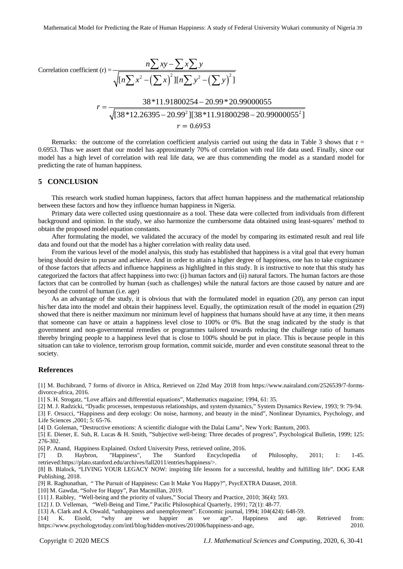Correlation coefficient (r) = 
$$
\frac{n\sum xy - \sum x \sum y}{\sqrt{[n\sum x^2 - (\sum x)^2][n\sum y^2 - (\sum y)^2]}}
$$

$$
r = \frac{38 * 11.91800254 - 20.99 * 20.99000055}{\sqrt{[38 * 12.26395 - 20.99^2][38 * 11.91800298 - 20.99000055^2]}}
$$

$$
r = 0.6953
$$

Remarks: the outcome of the correlation coefficient analysis carried out using the data in Table 3 shows that  $r =$ 0.6953. Thus we assert that our model has approximately 70% of correlation with real life data used. Finally, since our model has a high level of correlation with real life data, we are thus commending the model as a standard model for predicting the rate of human happiness.

# **5 CONCLUSION**

This research work studied human happiness, factors that affect human happiness and the mathematical relationship between these factors and how they influence human happiness in Nigeria.

Primary data were collected using questionnaire as a tool. These data were collected from individuals from different background and opinion. In the study, we also harmonize the cumbersome data obtained using least-squares' method to obtain the proposed model equation constants.

After formulating the model, we validated the accuracy of the model by comparing its estimated result and real life data and found out that the model has a higher correlation with reality data used.

From the various level of the model analysis, this study has established that happiness is a vital goal that every human being should desire to pursue and achieve. And in order to attain a higher degree of happiness, one has to take cognizance of those factors that affects and influence happiness as highlighted in this study. It is instructive to note that this study has categorized the factors that affect happiness into two: (i) human factors and (ii) natural factors. The human factors are those factors that can be controlled by human (such as challenges) while the natural factors are those caused by nature and are beyond the control of human (i.e. age)

As an advantage of the study, it is obvious that with the formulated model in equation (20), any person can input his/her data into the model and obtain their happiness level. Equally, the optimization result of the model in equation (29) showed that there is neither maximum nor minimum level of happiness that humans should have at any time, it then means that someone can have or attain a happiness level close to 100% or 0%. But the snag indicated by the study is that government and non-governmental remedies or programmes tailored towards reducing the challenge ratio of humans thereby bringing people to a happiness level that is close to 100% should be put in place. This is because people in this situation can take to violence, terrorism group formation, commit suicide, murder and even constitute seasonal threat to the society.

# **References**

[1] M. Buchibrand, 7 forms of divorce in Africa, Retrieved on 22nd May 2018 from https://www.nairaland.com/2526539/7-formsdivorce-africa, 2016.

[1] S. H. Strogatz, "Love affairs and differential equations", Mathematics magazine; 1994, 61: 35.

[2] M. J. Radzicki, "Dyadic processes, tempestuous relationships, and system dynamics," System Dynamics Review, 1993; 9: 79-94.

[3] F. Orsucci, "Happiness and deep ecology: On noise, harmony, and beauty in the mind", Nonlinear Dynamics, Psychology, and Life Sciences ,2001; 5: 65-76.

[4] D. Goleman, "Destructive emotions: A scientific dialogue with the Dalai Lama", New York: Bantum, 2003.

[5] E. Diener, E. Suh, R. Lucas & H. Smith, "Subjective well-being: Three decades of progress", Psychological Bulletin, 1999; 125: 276-302.

[6] P. Anand, Happiness Explained. Oxford University Press, retrieved online, 2016.

[7] D. Haybron, "Happiness", The Stanford Encyclopedia of Philosophy, 2011; 1: 1-45. retrieved:https://plato.stanford.edu/archives/fall2011/entries/happiness/>.

[8] B. Blalock, "LIVING YOUR LEGACY NOW: inspiring life lessons for a successful, healthy and fulfilling life". DOG EAR Publishing, 2018.

[9] R. Raghunathan, " The Pursuit of Happiness: Can It Make You Happy?", PsycEXTRA Dataset, 2018.

[10] M. Gawdat, "Solve for Happy", Pan Macmillan, 2019.

[11] J. Raibley, "Well-being and the priority of values," Social Theory and Practice, 2010; 36(4): 593.

[12] J. D. Velleman, "Well-Being and Time," Pacific Philosophical Quarterly, 1991; 72(1): 48-77.

[13] A. Clark and A. Oswald, "unhappiness and unemployment". Economic journal, 1994; 104(424): 648-59.

[14] K. Eisold, "why are we happier as we age". Happiness and age. Retrieved from: https://www.psychologytoday.com/intl/blog/hidden-motives/201006/happiness-and-age, 2010.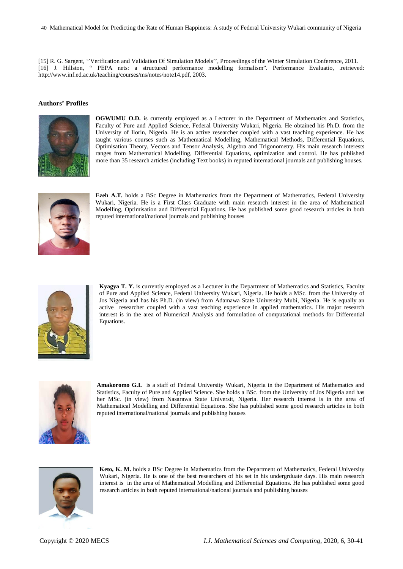[15] R. G. Sargent, ''Verification and Validation Of Simulation Models'', Proceedings of the Winter Simulation Conference, 2011. [16] J. Hillston, " PEPA nets: a structured performance modelling formalism". Performance Evaluatio, .retrieved: http://www.inf.ed.ac.uk/teaching/courses/ms/notes/note14.pdf, 2003.

## **Authors' Profiles**



**OGWUMU O.D.** is currently employed as a Lecturer in the Department of Mathematics and Statistics, Faculty of Pure and Applied Science, Federal University Wukari, Nigeria. He obtained his Ph.D. from the University of Ilorin, Nigeria. He is an active researcher coupled with a vast teaching experience. He has taught various courses such as Mathematical Modelling, Mathematical Methods, Differential Equations, Optimisation Theory, Vectors and Tensor Analysis, Algebra and Trigonometry. His main research interests ranges from Mathematical Modelling, Differential Equations, optimization and control. He has published more than 35 research articles (including Text books) in reputed international journals and publishing houses.



**Ezeh A.T.** holds a BSc Degree in Mathematics from the Department of Mathematics, Federal University Wukari, Nigeria. He is a First Class Graduate with main research interest in the area of Mathematical Modelling, Optimisation and Differential Equations. He has published some good research articles in both reputed international/national journals and publishing houses



**Kyagya T. Y.** is currently employed as a Lecturer in the Department of Mathematics and Statistics, Faculty of Pure and Applied Science, Federal University Wukari, Nigeria. He holds a MSc. from the University of Jos Nigeria and has his Ph.D. (in view) from Adamawa State University Mubi, Nigeria. He is equally an active researcher coupled with a vast teaching experience in applied mathematics. His major research interest is in the area of Numerical Analysis and formulation of computational methods for Differential Equations.



**Amakoromo G.I.** is a staff of Federal University Wukari, Nigeria in the Department of Mathematics and Statistics, Faculty of Pure and Applied Science. She holds a BSc. from the University of Jos Nigeria and has her MSc. (in view) from Nasarawa State Universit, Nigeria. Her research interest is in the area of Mathematical Modelling and Differential Equations. She has published some good research articles in both reputed international/national journals and publishing houses



**Keto, K. M.** holds a BSc Degree in Mathematics from the Department of Mathematics, Federal University Wukari, Nigeria. He is one of the best researchers of his set in his undergrduate days. His main research interest is in the area of Mathematical Modelling and Differential Equations. He has published some good research articles in both reputed international/national journals and publishing houses